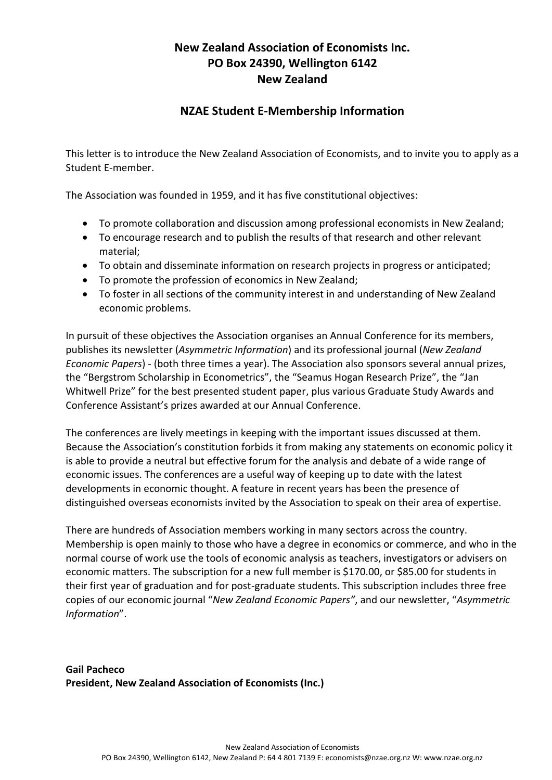## **New Zealand Association of Economists Inc. PO Box 24390, Wellington 6142 New Zealand**

## **NZAE Student E-Membership Information**

This letter is to introduce the New Zealand Association of Economists, and to invite you to apply as a Student E-member.

The Association was founded in 1959, and it has five constitutional objectives:

- To promote collaboration and discussion among professional economists in New Zealand;
- To encourage research and to publish the results of that research and other relevant material;
- To obtain and disseminate information on research projects in progress or anticipated;
- To promote the profession of economics in New Zealand;
- To foster in all sections of the community interest in and understanding of New Zealand economic problems.

In pursuit of these objectives the Association organises an Annual Conference for its members, publishes its newsletter (*Asymmetric Information*) and its professional journal (*New Zealand Economic Papers*) - (both three times a year). The Association also sponsors several annual prizes, the "Bergstrom Scholarship in Econometrics", the "Seamus Hogan Research Prize", the "Jan Whitwell Prize" for the best presented student paper, plus various Graduate Study Awards and Conference Assistant's prizes awarded at our Annual Conference.

The conferences are lively meetings in keeping with the important issues discussed at them. Because the Association's constitution forbids it from making any statements on economic policy it is able to provide a neutral but effective forum for the analysis and debate of a wide range of economic issues. The conferences are a useful way of keeping up to date with the latest developments in economic thought. A feature in recent years has been the presence of distinguished overseas economists invited by the Association to speak on their area of expertise.

There are hundreds of Association members working in many sectors across the country. Membership is open mainly to those who have a degree in economics or commerce, and who in the normal course of work use the tools of economic analysis as teachers, investigators or advisers on economic matters. The subscription for a new full member is \$170.00, or \$85.00 for students in their first year of graduation and for post-graduate students. This subscription includes three free copies of our economic journal "*New Zealand Economic Papers"*, and our newsletter, "*Asymmetric Information*".

**Gail Pacheco President, New Zealand Association of Economists (Inc.)**